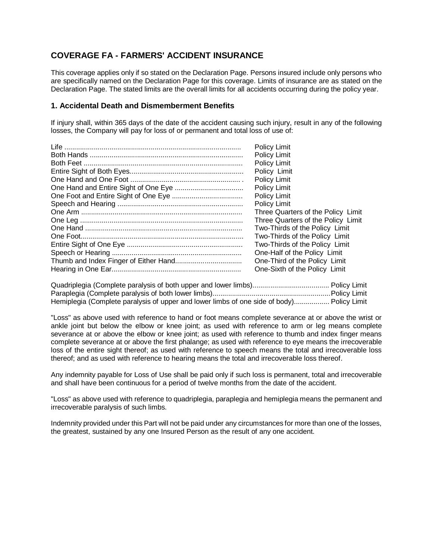# **COVERAGE FA - FARMERS' ACCIDENT INSURANCE**

This coverage applies only if so stated on the Declaration Page. Persons insured include only persons who are specifically named on the Declaration Page for this coverage. Limits of insurance are as stated on the Declaration Page. The stated limits are the overall limits for all accidents occurring during the policy year.

### **1. Accidental Death and Dismemberment Benefits**

If injury shall, within 365 days of the date of the accident causing such injury, result in any of the following losses, the Company will pay for loss of or permanent and total loss of use of:

| <b>Policy Limit</b>                |
|------------------------------------|
| Policy Limit                       |
| Policy Limit                       |
| Policy Limit                       |
| Policy Limit                       |
| Policy Limit                       |
| Policy Limit                       |
| Policy Limit                       |
| Three Quarters of the Policy Limit |
| Three Quarters of the Policy Limit |
| Two-Thirds of the Policy Limit     |
| Two-Thirds of the Policy Limit     |
| Two-Thirds of the Policy Limit     |
| One-Half of the Policy Limit       |
| One-Third of the Policy Limit      |
| One-Sixth of the Policy Limit      |

| Hemiplegia (Complete paralysis of upper and lower limbs of one side of body) Policy Limit |  |
|-------------------------------------------------------------------------------------------|--|

"Loss" as above used with reference to hand or foot means complete severance at or above the wrist or ankle joint but below the elbow or knee joint; as used with reference to arm or leg means complete severance at or above the elbow or knee joint; as used with reference to thumb and index finger means complete severance at or above the first phalange; as used with reference to eye means the irrecoverable loss of the entire sight thereof; as used with reference to speech means the total and irrecoverable loss thereof; and as used with reference to hearing means the total and irrecoverable loss thereof.

Any indemnity payable for Loss of Use shall be paid only if such loss is permanent, total and irrecoverable and shall have been continuous for a period of twelve months from the date of the accident.

"Loss" as above used with reference to quadriplegia, paraplegia and hemiplegia means the permanent and irrecoverable paralysis of such limbs.

Indemnity provided under this Part will not be paid under any circumstances for more than one of the losses, the greatest, sustained by any one Insured Person as the result of any one accident.